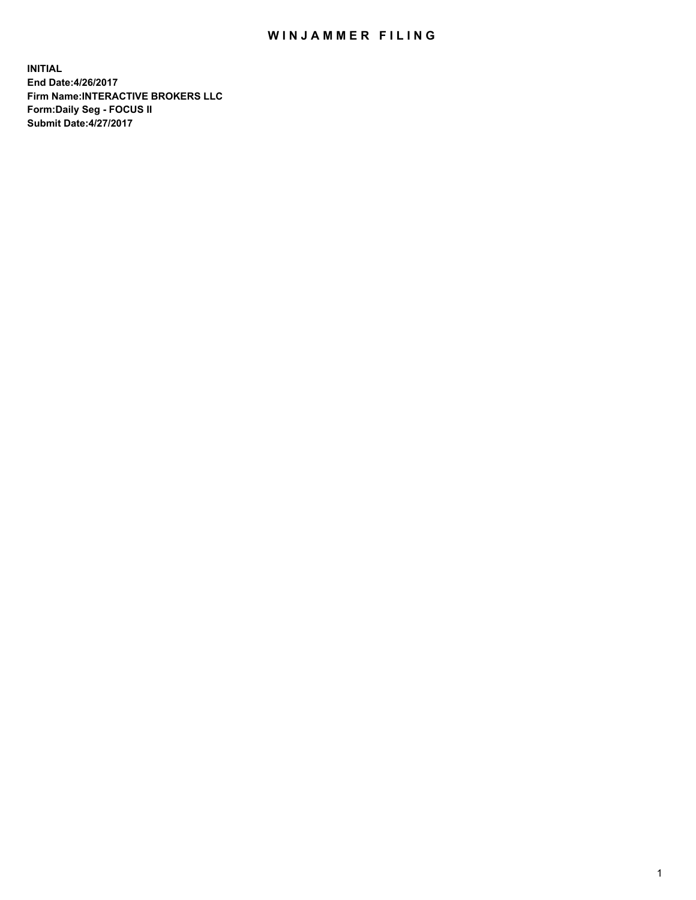## WIN JAMMER FILING

**INITIAL End Date:4/26/2017 Firm Name:INTERACTIVE BROKERS LLC Form:Daily Seg - FOCUS II Submit Date:4/27/2017**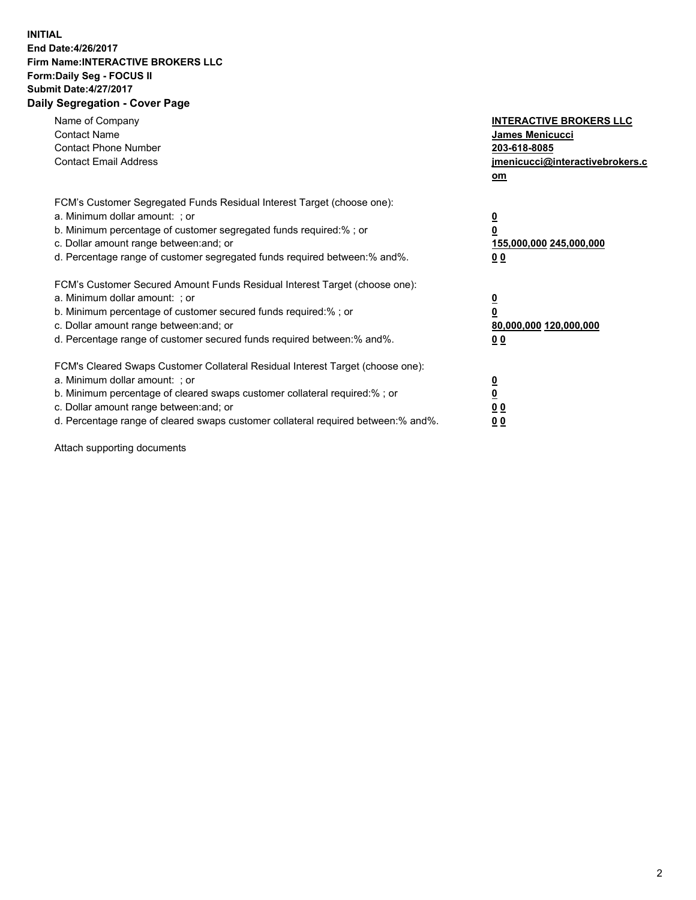## **INITIAL End Date:4/26/2017 Firm Name:INTERACTIVE BROKERS LLC Form:Daily Seg - FOCUS II Submit Date:4/27/2017 Daily Segregation - Cover Page**

| Name of Company<br><b>Contact Name</b><br><b>Contact Phone Number</b><br><b>Contact Email Address</b>                                                                                                                                                                                                                          | <b>INTERACTIVE BROKERS LLC</b><br>James Menicucci<br>203-618-8085<br><u>jmenicucci@interactivebrokers.c</u><br>om |
|--------------------------------------------------------------------------------------------------------------------------------------------------------------------------------------------------------------------------------------------------------------------------------------------------------------------------------|-------------------------------------------------------------------------------------------------------------------|
| FCM's Customer Segregated Funds Residual Interest Target (choose one):<br>a. Minimum dollar amount: ; or<br>b. Minimum percentage of customer segregated funds required:%; or<br>c. Dollar amount range between: and; or<br>d. Percentage range of customer segregated funds required between:% and%.                          | $\overline{\mathbf{0}}$<br>0<br>155,000,000 245,000,000<br>0 <sub>0</sub>                                         |
| FCM's Customer Secured Amount Funds Residual Interest Target (choose one):<br>a. Minimum dollar amount: ; or<br>b. Minimum percentage of customer secured funds required:%; or<br>c. Dollar amount range between: and; or<br>d. Percentage range of customer secured funds required between:% and%.                            | $\overline{\mathbf{0}}$<br>$\overline{\mathbf{0}}$<br>80,000,000 120,000,000<br>00                                |
| FCM's Cleared Swaps Customer Collateral Residual Interest Target (choose one):<br>a. Minimum dollar amount: ; or<br>b. Minimum percentage of cleared swaps customer collateral required:% ; or<br>c. Dollar amount range between: and; or<br>d. Percentage range of cleared swaps customer collateral required between:% and%. | $\overline{\mathbf{0}}$<br>$\overline{\mathbf{0}}$<br>0 <sub>0</sub><br><u>00</u>                                 |

Attach supporting documents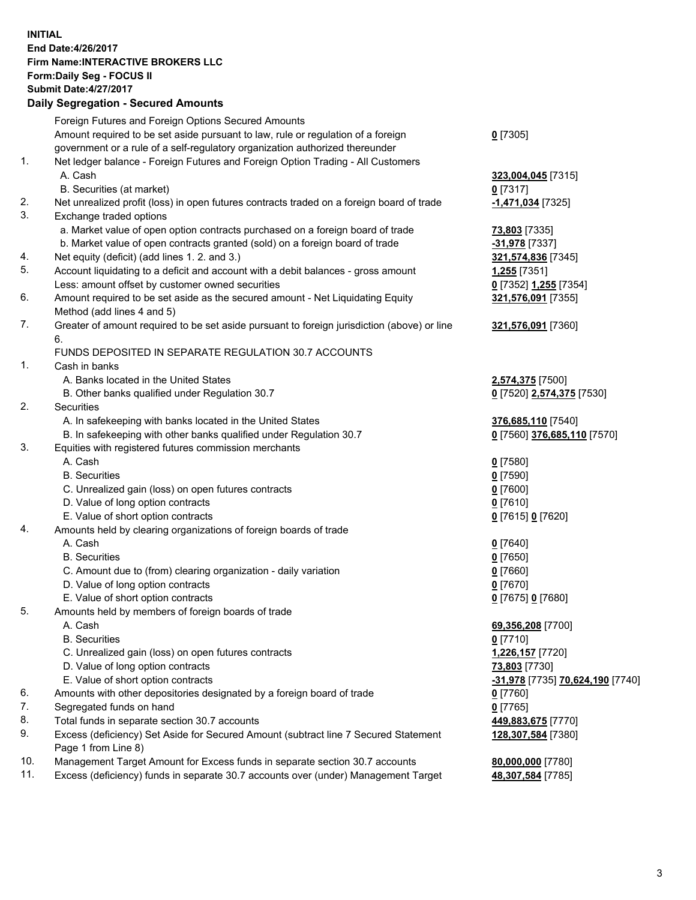## **INITIAL End Date:4/26/2017 Firm Name:INTERACTIVE BROKERS LLC Form:Daily Seg - FOCUS II Submit Date:4/27/2017 Daily Segregation - Secured Amounts**

|     | Daily Ocglegation - Occuled Amounts                                                         |                                  |
|-----|---------------------------------------------------------------------------------------------|----------------------------------|
|     | Foreign Futures and Foreign Options Secured Amounts                                         |                                  |
|     | Amount required to be set aside pursuant to law, rule or regulation of a foreign            | $0$ [7305]                       |
|     | government or a rule of a self-regulatory organization authorized thereunder                |                                  |
| 1.  | Net ledger balance - Foreign Futures and Foreign Option Trading - All Customers             |                                  |
|     | A. Cash                                                                                     | 323,004,045 [7315]               |
|     | B. Securities (at market)                                                                   | $0$ [7317]                       |
| 2.  | Net unrealized profit (loss) in open futures contracts traded on a foreign board of trade   | -1,471,034 [7325]                |
| 3.  | Exchange traded options                                                                     |                                  |
|     | a. Market value of open option contracts purchased on a foreign board of trade              | <b>73,803</b> [7335]             |
|     | b. Market value of open contracts granted (sold) on a foreign board of trade                | -31,978 [7337]                   |
| 4.  | Net equity (deficit) (add lines 1.2. and 3.)                                                | 321,574,836 [7345]               |
| 5.  | Account liquidating to a deficit and account with a debit balances - gross amount           | 1,255 [7351]                     |
|     |                                                                                             |                                  |
| 6.  | Less: amount offset by customer owned securities                                            | 0 [7352] 1,255 [7354]            |
|     | Amount required to be set aside as the secured amount - Net Liquidating Equity              | 321,576,091 [7355]               |
|     | Method (add lines 4 and 5)                                                                  |                                  |
| 7.  | Greater of amount required to be set aside pursuant to foreign jurisdiction (above) or line | 321,576,091 [7360]               |
|     | 6.                                                                                          |                                  |
|     | FUNDS DEPOSITED IN SEPARATE REGULATION 30.7 ACCOUNTS                                        |                                  |
| 1.  | Cash in banks                                                                               |                                  |
|     | A. Banks located in the United States                                                       | 2,574,375 [7500]                 |
|     | B. Other banks qualified under Regulation 30.7                                              | 0 [7520] 2,574,375 [7530]        |
| 2.  | Securities                                                                                  |                                  |
|     | A. In safekeeping with banks located in the United States                                   | 376,685,110 [7540]               |
|     | B. In safekeeping with other banks qualified under Regulation 30.7                          | 0 [7560] 376,685,110 [7570]      |
| 3.  | Equities with registered futures commission merchants                                       |                                  |
|     | A. Cash                                                                                     | $0$ [7580]                       |
|     | <b>B.</b> Securities                                                                        | $0$ [7590]                       |
|     | C. Unrealized gain (loss) on open futures contracts                                         | $0$ [7600]                       |
|     | D. Value of long option contracts                                                           | $0$ [7610]                       |
|     | E. Value of short option contracts                                                          | 0 [7615] 0 [7620]                |
| 4.  | Amounts held by clearing organizations of foreign boards of trade                           |                                  |
|     | A. Cash                                                                                     | $0$ [7640]                       |
|     | <b>B.</b> Securities                                                                        | $0$ [7650]                       |
|     | C. Amount due to (from) clearing organization - daily variation                             | $0$ [7660]                       |
|     | D. Value of long option contracts                                                           | $0$ [7670]                       |
|     | E. Value of short option contracts                                                          | 0 [7675] 0 [7680]                |
| 5.  | Amounts held by members of foreign boards of trade                                          |                                  |
|     | A. Cash                                                                                     | 69,356,208 [7700]                |
|     | <b>B.</b> Securities                                                                        | $0$ [7710]                       |
|     | C. Unrealized gain (loss) on open futures contracts                                         | 1,226,157 [7720]                 |
|     | D. Value of long option contracts                                                           | 73,803 [7730]                    |
|     | E. Value of short option contracts                                                          | -31,978 [7735] 70,624,190 [7740] |
| 6.  | Amounts with other depositories designated by a foreign board of trade                      | 0 [7760]                         |
| 7.  | Segregated funds on hand                                                                    | $0$ [7765]                       |
| 8.  | Total funds in separate section 30.7 accounts                                               | 449,883,675 [7770]               |
| 9.  | Excess (deficiency) Set Aside for Secured Amount (subtract line 7 Secured Statement         | 128,307,584 [7380]               |
|     | Page 1 from Line 8)                                                                         |                                  |
| 10. | Management Target Amount for Excess funds in separate section 30.7 accounts                 | 80,000,000 [7780]                |
| 11. | Excess (deficiency) funds in separate 30.7 accounts over (under) Management Target          | 48,307,584 [7785]                |
|     |                                                                                             |                                  |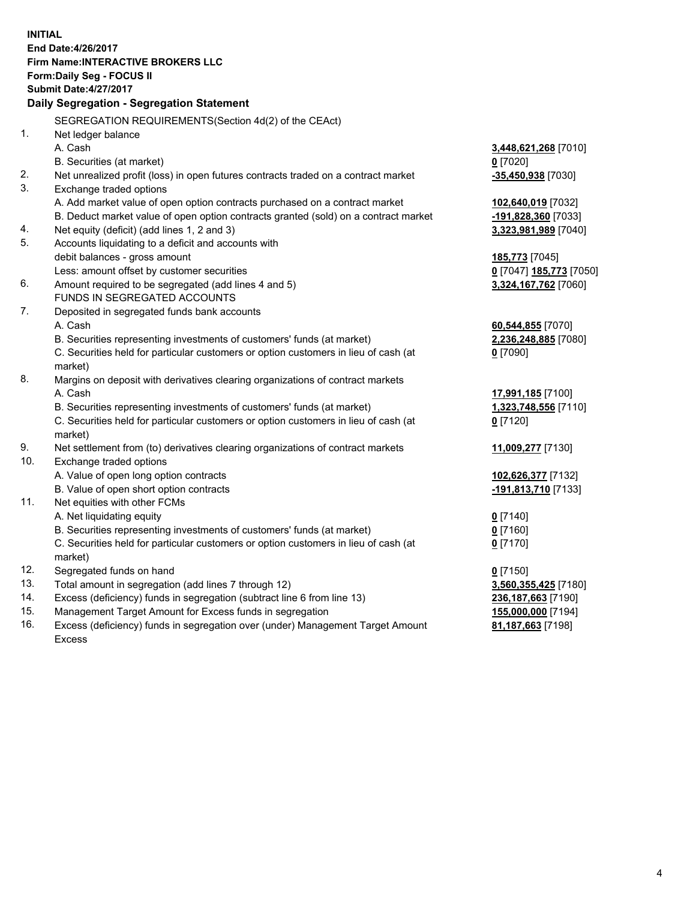**INITIAL End Date:4/26/2017 Firm Name:INTERACTIVE BROKERS LLC Form:Daily Seg - FOCUS II Submit Date:4/27/2017 Daily Segregation - Segregation Statement** SEGREGATION REQUIREMENTS(Section 4d(2) of the CEAct) 1. Net ledger balance A. Cash **3,448,621,268** [7010] B. Securities (at market) **0** [7020] 2. Net unrealized profit (loss) in open futures contracts traded on a contract market **-35,450,938** [7030] 3. Exchange traded options A. Add market value of open option contracts purchased on a contract market **102,640,019** [7032] B. Deduct market value of open option contracts granted (sold) on a contract market **-191,828,360** [7033] 4. Net equity (deficit) (add lines 1, 2 and 3) **3,323,981,989** [7040] 5. Accounts liquidating to a deficit and accounts with debit balances - gross amount **185,773** [7045] Less: amount offset by customer securities **0** [7047] **185,773** [7050] 6. Amount required to be segregated (add lines 4 and 5) **3,324,167,762** [7060] FUNDS IN SEGREGATED ACCOUNTS 7. Deposited in segregated funds bank accounts A. Cash **60,544,855** [7070] B. Securities representing investments of customers' funds (at market) **2,236,248,885** [7080] C. Securities held for particular customers or option customers in lieu of cash (at market) **0** [7090] 8. Margins on deposit with derivatives clearing organizations of contract markets A. Cash **17,991,185** [7100] B. Securities representing investments of customers' funds (at market) **1,323,748,556** [7110] C. Securities held for particular customers or option customers in lieu of cash (at market) **0** [7120] 9. Net settlement from (to) derivatives clearing organizations of contract markets **11,009,277** [7130] 10. Exchange traded options A. Value of open long option contracts **102,626,377** [7132] B. Value of open short option contracts **-191,813,710** [7133] 11. Net equities with other FCMs A. Net liquidating equity **0** [7140] B. Securities representing investments of customers' funds (at market) **0** [7160] C. Securities held for particular customers or option customers in lieu of cash (at market) **0** [7170] 12. Segregated funds on hand **0** [7150] 13. Total amount in segregation (add lines 7 through 12) **3,560,355,425** [7180] 14. Excess (deficiency) funds in segregation (subtract line 6 from line 13) **236,187,663** [7190] 15. Management Target Amount for Excess funds in segregation **155,000,000** [7194] **81,187,663** [7198]

16. Excess (deficiency) funds in segregation over (under) Management Target Amount Excess